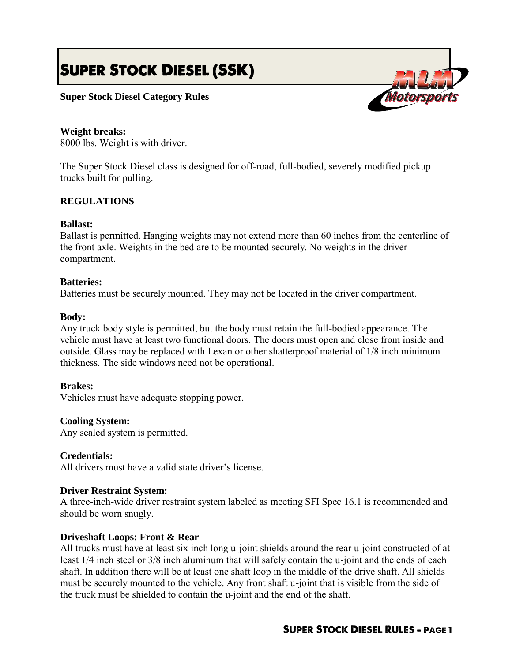# **SUPER STOCK DIESEL (SSK)**

## **Super Stock Diesel Category Rules**

## **Weight breaks:**

8000 lbs. Weight is with driver.

The Super Stock Diesel class is designed for off-road, full-bodied, severely modified pickup trucks built for pulling.

## **REGULATIONS**

## **Ballast:**

Ballast is permitted. Hanging weights may not extend more than 60 inches from the centerline of the front axle. Weights in the bed are to be mounted securely. No weights in the driver compartment.

#### **Batteries:**

Batteries must be securely mounted. They may not be located in the driver compartment.

#### **Body:**

Any truck body style is permitted, but the body must retain the full-bodied appearance. The vehicle must have at least two functional doors. The doors must open and close from inside and outside. Glass may be replaced with Lexan or other shatterproof material of 1/8 inch minimum thickness. The side windows need not be operational.

## **Brakes:**

Vehicles must have adequate stopping power.

#### **Cooling System:**

Any sealed system is permitted.

## **Credentials:**

All drivers must have a valid state driver's license.

#### **Driver Restraint System:**

A three-inch-wide driver restraint system labeled as meeting SFI Spec 16.1 is recommended and should be worn snugly.

## **Driveshaft Loops: Front & Rear**

All trucks must have at least six inch long u-joint shields around the rear u-joint constructed of at least 1/4 inch steel or 3/8 inch aluminum that will safely contain the u-joint and the ends of each shaft. In addition there will be at least one shaft loop in the middle of the drive shaft. All shields must be securely mounted to the vehicle. Any front shaft u-joint that is visible from the side of the truck must be shielded to contain the u-joint and the end of the shaft.

# **SUPER STOCK DIESEL RULES - PAGE 1**

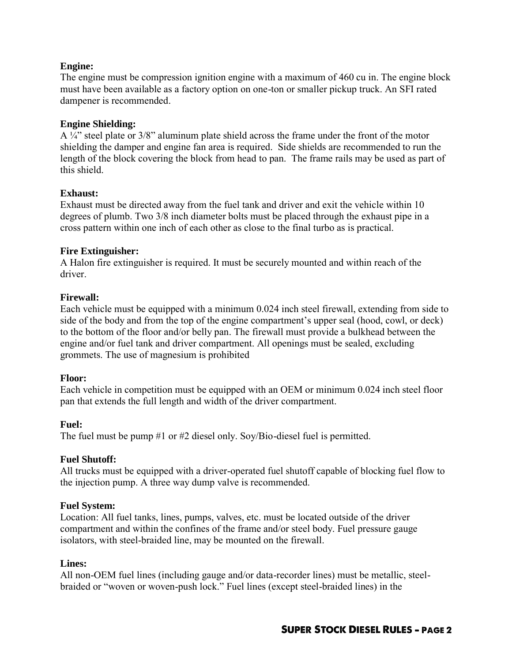## **Engine:**

The engine must be compression ignition engine with a maximum of 460 cu in. The engine block must have been available as a factory option on one-ton or smaller pickup truck. An SFI rated dampener is recommended.

## **Engine Shielding:**

A ¼" steel plate or 3/8" aluminum plate shield across the frame under the front of the motor shielding the damper and engine fan area is required. Side shields are recommended to run the length of the block covering the block from head to pan. The frame rails may be used as part of this shield.

## **Exhaust:**

Exhaust must be directed away from the fuel tank and driver and exit the vehicle within 10 degrees of plumb. Two 3/8 inch diameter bolts must be placed through the exhaust pipe in a cross pattern within one inch of each other as close to the final turbo as is practical.

## **Fire Extinguisher:**

A Halon fire extinguisher is required. It must be securely mounted and within reach of the driver.

## **Firewall:**

Each vehicle must be equipped with a minimum 0.024 inch steel firewall, extending from side to side of the body and from the top of the engine compartment's upper seal (hood, cowl, or deck) to the bottom of the floor and/or belly pan. The firewall must provide a bulkhead between the engine and/or fuel tank and driver compartment. All openings must be sealed, excluding grommets. The use of magnesium is prohibited

## **Floor:**

Each vehicle in competition must be equipped with an OEM or minimum 0.024 inch steel floor pan that extends the full length and width of the driver compartment.

## **Fuel:**

The fuel must be pump #1 or #2 diesel only. Soy/Bio-diesel fuel is permitted.

# **Fuel Shutoff:**

All trucks must be equipped with a driver-operated fuel shutoff capable of blocking fuel flow to the injection pump. A three way dump valve is recommended.

## **Fuel System:**

Location: All fuel tanks, lines, pumps, valves, etc. must be located outside of the driver compartment and within the confines of the frame and/or steel body. Fuel pressure gauge isolators, with steel-braided line, may be mounted on the firewall.

## **Lines:**

All non-OEM fuel lines (including gauge and/or data-recorder lines) must be metallic, steelbraided or "woven or woven-push lock." Fuel lines (except steel-braided lines) in the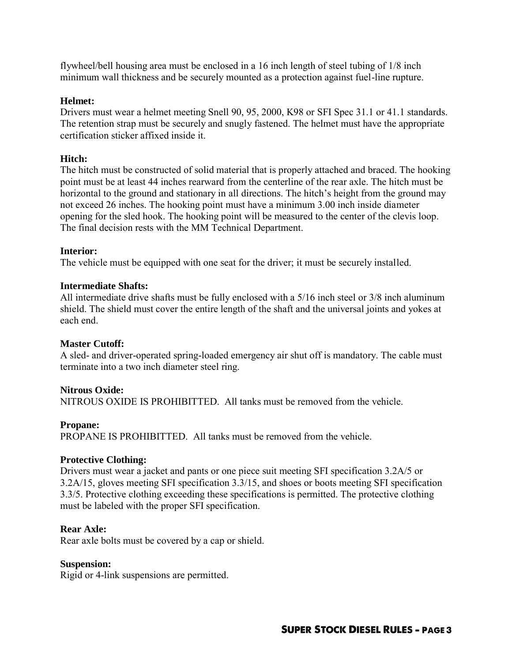flywheel/bell housing area must be enclosed in a 16 inch length of steel tubing of 1/8 inch minimum wall thickness and be securely mounted as a protection against fuel-line rupture.

## **Helmet:**

Drivers must wear a helmet meeting Snell 90, 95, 2000, K98 or SFI Spec 31.1 or 41.1 standards. The retention strap must be securely and snugly fastened. The helmet must have the appropriate certification sticker affixed inside it.

## **Hitch:**

The hitch must be constructed of solid material that is properly attached and braced. The hooking point must be at least 44 inches rearward from the centerline of the rear axle. The hitch must be horizontal to the ground and stationary in all directions. The hitch's height from the ground may not exceed 26 inches. The hooking point must have a minimum 3.00 inch inside diameter opening for the sled hook. The hooking point will be measured to the center of the clevis loop. The final decision rests with the MM Technical Department.

## **Interior:**

The vehicle must be equipped with one seat for the driver; it must be securely installed.

## **Intermediate Shafts:**

All intermediate drive shafts must be fully enclosed with a 5/16 inch steel or 3/8 inch aluminum shield. The shield must cover the entire length of the shaft and the universal joints and yokes at each end.

## **Master Cutoff:**

A sled- and driver-operated spring-loaded emergency air shut off is mandatory. The cable must terminate into a two inch diameter steel ring.

## **Nitrous Oxide:**

NITROUS OXIDE IS PROHIBITTED. All tanks must be removed from the vehicle.

## **Propane:**

PROPANE IS PROHIBITTED. All tanks must be removed from the vehicle.

## **Protective Clothing:**

Drivers must wear a jacket and pants or one piece suit meeting SFI specification 3.2A/5 or 3.2A/15, gloves meeting SFI specification 3.3/15, and shoes or boots meeting SFI specification 3.3/5. Protective clothing exceeding these specifications is permitted. The protective clothing must be labeled with the proper SFI specification.

## **Rear Axle:**

Rear axle bolts must be covered by a cap or shield.

## **Suspension:**

Rigid or 4-link suspensions are permitted.